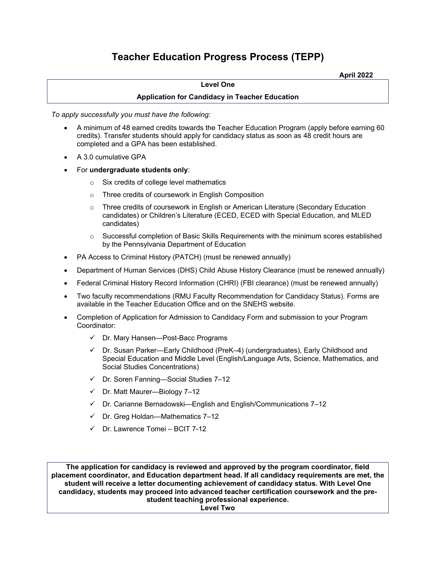# **Teacher Education Progress Process (TEPP)**

**April 2022**

#### **Level One**

### **Application for Candidacy in Teacher Education**

*To apply successfully you must have the following:*

- A minimum of 48 earned credits towards the Teacher Education Program (apply before earning 60 credits). Transfer students should apply for candidacy status as soon as 48 credit hours are completed and a GPA has been established.
- A 3.0 cumulative GPA
- For **undergraduate students only**:
	- o Six credits of college level mathematics
	- o Three credits of coursework in English Composition
	- o Three credits of coursework in English or American Literature (Secondary Education candidates) or Children's Literature (ECED, ECED with Special Education, and MLED candidates)
	- $\circ$  Successful completion of Basic Skills Requirements with the minimum scores established by the Pennsylvania Department of Education
- PA Access to Criminal History (PATCH) (must be renewed annually)
- Department of Human Services (DHS) Child Abuse History Clearance (must be renewed annually)
- Federal Criminal History Record Information (CHRI) (FBI clearance) (must be renewed annually)
- Two faculty recommendations (RMU Faculty Recommendation for Candidacy Status). Forms are available in the Teacher Education Office and on the SNEHS website.
- Completion of Application for Admission to Candidacy Form and submission to your Program Coordinator:
	- Dr. Mary Hansen—Post-Bacc Programs
	- Dr. Susan Parker—Early Childhood (PreK–4) (undergraduates), Early Childhood and Special Education and Middle Level (English/Language Arts, Science, Mathematics, and Social Studies Concentrations)
	- $\checkmark$  Dr. Soren Fanning—Social Studies 7-12
	- $\checkmark$  Dr. Matt Maurer-Biology 7-12
	- $\checkmark$  Dr. Carianne Bernadowski—English and English/Communications 7-12
	- $\checkmark$  Dr. Greg Holdan—Mathematics 7-12
	- $\checkmark$  Dr. Lawrence Tomei BCIT 7-12

**The application for candidacy is reviewed and approved by the program coordinator, field placement coordinator, and Education department head. If all candidacy requirements are met, the student will receive a letter documenting achievement of candidacy status. With Level One candidacy, students may proceed into advanced teacher certification coursework and the prestudent teaching professional experience.**

**Level Two**